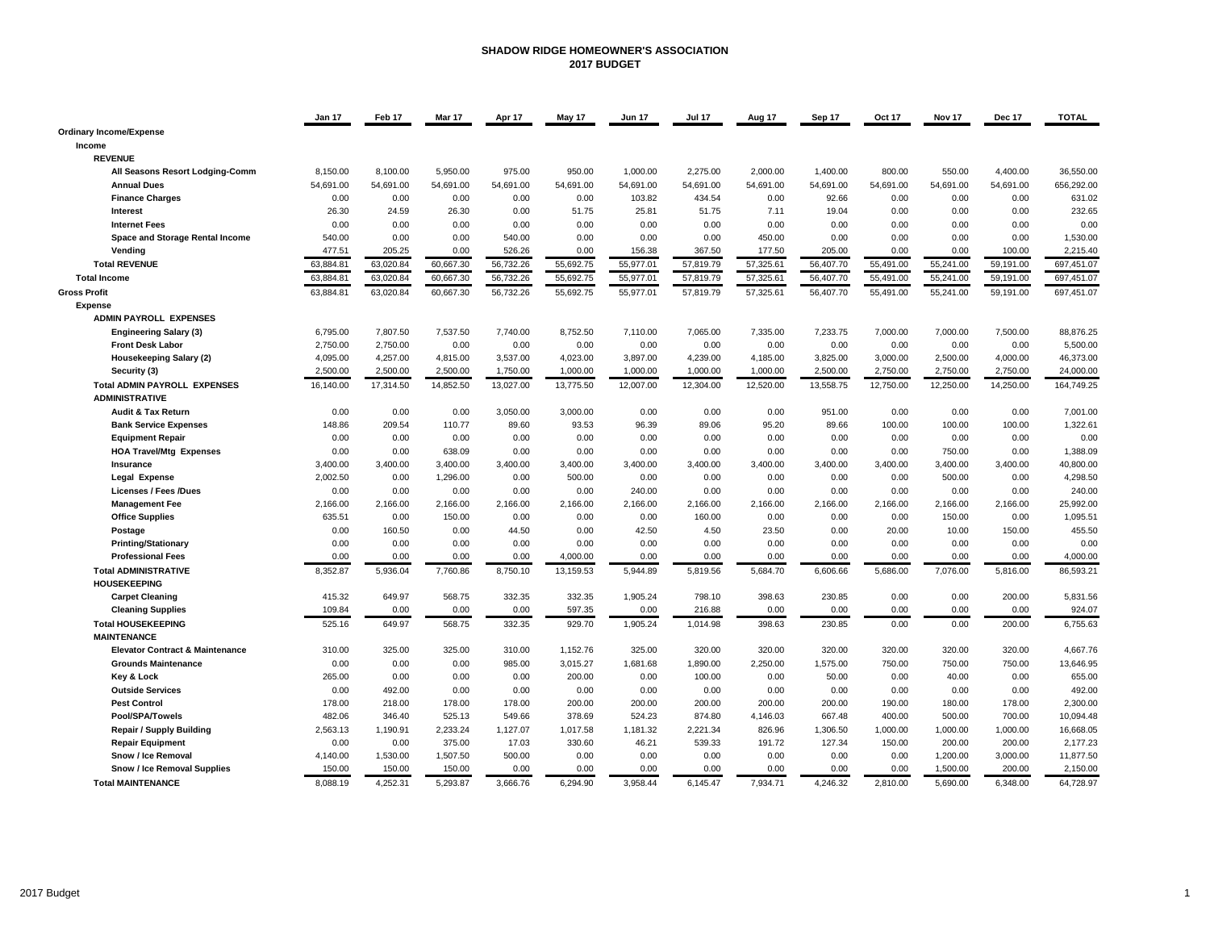#### **SHADOW RIDGE HOMEOWNER'S ASSOCIATION 2017 BUDGET**

|                                                  | Jan 17           | Feb 17           | Mar 17             | Apr 17            | May 17             | <b>Jun 17</b>     | <b>Jul 17</b>      | Aug 17           | Sep 17             | Oct 17         | Nov 17             | Dec 17             | <b>TOTAL</b>          |
|--------------------------------------------------|------------------|------------------|--------------------|-------------------|--------------------|-------------------|--------------------|------------------|--------------------|----------------|--------------------|--------------------|-----------------------|
| <b>Ordinary Income/Expense</b>                   |                  |                  |                    |                   |                    |                   |                    |                  |                    |                |                    |                    |                       |
| Income                                           |                  |                  |                    |                   |                    |                   |                    |                  |                    |                |                    |                    |                       |
| <b>REVENUE</b>                                   |                  |                  |                    |                   |                    |                   |                    |                  |                    |                |                    |                    |                       |
| All Seasons Resort Lodging-Comm                  | 8.150.00         | 8.100.00         | 5.950.00           | 975.00            | 950.00             | 1.000.00          | 2.275.00           | 2.000.00         | 1.400.00           | 800.00         | 550.00             | 4.400.00           | 36.550.00             |
| <b>Annual Dues</b>                               | 54,691.00        | 54,691.00        | 54,691.00          | 54,691.00         | 54,691.00          | 54,691.00         | 54,691.00          | 54,691.00        | 54,691.00          | 54,691.00      | 54,691.00          | 54,691.00          | 656,292.00            |
| <b>Finance Charges</b>                           | 0.00             | 0.00             | 0.00               | 0.00              | 0.00               | 103.82            | 434.54             | 0.00             | 92.66              | 0.00           | 0.00               | 0.00               | 631.02                |
| Interest                                         | 26.30            | 24.59            | 26.30              | 0.00              | 51.75              | 25.81             | 51.75              | 7.11             | 19.04              | 0.00           | 0.00               | 0.00               | 232.65                |
| <b>Internet Fees</b>                             | 0.00             | 0.00             | 0.00               | 0.00              | 0.00               | 0.00              | 0.00               | 0.00             | 0.00               | 0.00           | 0.00               | 0.00               | 0.00                  |
| Space and Storage Rental Income                  | 540.00           | 0.00             | 0.00               | 540.00            | 0.00               | 0.00              | 0.00               | 450.00           | 0.00               | 0.00           | 0.00               | 0.00               | 1,530.00              |
| Vending                                          | 477.51           | 205.25           | 0.00               | 526.26            | 0.00               | 156.38            | 367.50             | 177.50           | 205.00             | 0.00           | 0.00               | 100.00             | 2,215.40              |
| <b>Total REVENUE</b>                             | 63,884.81        | 63,020.84        | 60,667.30          | 56,732.26         | 55,692.75          | 55,977.01         | 57,819.79          | 57,325.61        | 56,407.70          | 55,491.00      | 55,241.00          | 59,191.00          | 697,451.07            |
| <b>Total Income</b>                              | 63,884.81        | 63,020.84        | 60,667.30          | 56,732.26         | 55,692.75          | 55,977.01         | 57,819.79          | 57,325.61        | 56,407.70          | 55,491.00      | 55,241.00          | 59,191.00          | 697,451.07            |
| <b>Gross Profit</b>                              | 63,884.81        | 63,020.84        | 60,667.30          | 56,732.26         | 55,692.75          | 55,977.01         | 57,819.79          | 57,325.61        | 56,407.70          | 55,491.00      | 55,241.00          | 59,191.00          | 697,451.07            |
| <b>Expense</b>                                   |                  |                  |                    |                   |                    |                   |                    |                  |                    |                |                    |                    |                       |
| <b>ADMIN PAYROLL EXPENSES</b>                    |                  |                  |                    |                   |                    |                   |                    |                  |                    |                |                    |                    |                       |
| <b>Engineering Salary (3)</b>                    | 6,795.00         | 7,807.50         | 7,537.50           | 7,740.00          | 8,752.50           | 7,110.00          | 7,065.00           | 7,335.00         | 7,233.75           | 7,000.00       | 7,000.00           | 7,500.00           | 88,876.25             |
| <b>Front Desk Labor</b>                          | 2,750.00         | 2,750.00         | 0.00               | 0.00              | 0.00               | 0.00              | 0.00               | 0.00             | 0.00               | 0.00           | 0.00               | 0.00               | 5,500.00              |
| Housekeeping Salary (2)                          | 4,095.00         | 4,257.00         | 4,815.00           | 3,537.00          | 4,023.00           | 3,897.00          | 4,239.00           | 4,185.00         | 3,825.00           | 3,000.00       | 2,500.00           | 4,000.00           | 46,373.00             |
| Security (3)                                     | 2,500.00         | 2,500.00         | 2,500.00           | 1,750.00          | 1,000.00           | 1,000.00          | 1,000.00           | 1,000.00         | 2,500.00           | 2,750.00       | 2,750.00           | 2,750.00           | 24,000.00             |
| <b>Total ADMIN PAYROLL EXPENSES</b>              | 16.140.00        | 17,314.50        | 14,852.50          | 13,027.00         | 13,775.50          | 12,007.00         | 12,304.00          | 12,520.00        | 13.558.75          | 12,750.00      | 12,250.00          | 14,250.00          | 164,749.25            |
| <b>ADMINISTRATIVE</b>                            |                  |                  |                    |                   |                    |                   |                    |                  |                    |                |                    |                    |                       |
| Audit & Tax Return                               | 0.00             | 0.00             | 0.00               | 3,050.00          | 3,000.00           | 0.00              | 0.00               | 0.00             | 951.00             | 0.00           | 0.00               | 0.00               | 7,001.00              |
| <b>Bank Service Expenses</b>                     | 148.86           | 209.54           | 110.77             | 89.60             | 93.53              | 96.39             | 89.06              | 95.20            | 89.66              | 100.00         | 100.00             | 100.00             | 1,322.61              |
| <b>Equipment Repair</b>                          | 0.00             | 0.00             | 0.00               | 0.00              | 0.00               | 0.00              | 0.00               | 0.00             | 0.00               | 0.00           | 0.00               | 0.00               | 0.00                  |
| <b>HOA Travel/Mtg Expenses</b>                   | 0.00             | 0.00             | 638.09             | 0.00              | 0.00               | 0.00              | 0.00               | 0.00             | 0.00               | 0.00           | 750.00             | 0.00               | 1,388.09              |
| Insurance                                        | 3,400.00         | 3,400.00         | 3,400.00           | 3,400.00          | 3,400.00           | 3,400.00          | 3,400.00           | 3,400.00         | 3,400.00           | 3,400.00       | 3,400.00           | 3,400.00           | 40,800.00             |
| Legal Expense                                    | 2,002.50         | 0.00             | 1,296.00           | 0.00              | 500.00             | 0.00              | 0.00               | 0.00             | 0.00               | 0.00           | 500.00             | 0.00               | 4,298.50              |
| <b>Licenses / Fees /Dues</b>                     | 0.00             | 0.00             | 0.00               | 0.00              | 0.00               | 240.00            | 0.00               | 0.00             | 0.00               | 0.00           | 0.00               | 0.00               | 240.00                |
| <b>Management Fee</b>                            | 2,166.00         | 2,166.00         | 2,166.00           | 2,166.00          | 2,166.00           | 2,166.00          | 2,166.00           | 2,166.00         | 2,166.00           | 2,166.00       | 2,166.00           | 2,166.00           | 25,992.00             |
| <b>Office Supplies</b>                           | 635.51           | 0.00             | 150.00             | 0.00              | 0.00               | 0.00              | 160.00             | 0.00             | 0.00               | 0.00           | 150.00             | 0.00               | 1,095.51              |
| Postage                                          | 0.00             | 160.50           | 0.00               | 44.50             | 0.00               | 42.50             | 4.50               | 23.50            | 0.00               | 20.00          | 10.00              | 150.00             | 455.50                |
| <b>Printing/Stationary</b>                       | 0.00             | 0.00             | 0.00               | 0.00              | 0.00               | 0.00              | 0.00               | 0.00             | 0.00               | 0.00           | 0.00               | 0.00               | 0.00                  |
| <b>Professional Fees</b>                         | 0.00             | 0.00             | 0.00               | 0.00              | 4,000.00           | 0.00              | 0.00               | 0.00             | 0.00               | 0.00           | 0.00               | 0.00               | 4,000.00              |
| <b>Total ADMINISTRATIVE</b>                      | 8,352.87         | 5,936.04         | 7,760.86           | 8,750.10          | 13,159.53          | 5,944.89          | 5,819.56           | 5,684.70         | 6,606.66           | 5,686.00       | 7,076.00           | 5,816.00           | 86,593.21             |
| <b>HOUSEKEEPING</b>                              |                  |                  |                    |                   |                    |                   |                    |                  |                    |                |                    |                    |                       |
| <b>Carpet Cleaning</b>                           | 415.32           | 649.97           | 568.75             | 332.35            | 332.35             | 1,905.24          | 798.10             | 398.63           | 230.85             | 0.00           | 0.00               | 200.00             | 5,831.56              |
| <b>Cleaning Supplies</b>                         | 109.84           | 0.00             | 0.00               | 0.00              | 597.35             | 0.00              | 216.88             | 0.00             | 0.00               | 0.00           | 0.00               | 0.00               | 924.07                |
| <b>Total HOUSEKEEPING</b>                        | 525.16           | 649.97           | 568.75             | 332.35            | 929.70             | 1,905.24          | 1,014.98           | 398.63           | 230.85             | 0.00           | 0.00               | 200.00             | 6,755.63              |
| <b>MAINTENANCE</b>                               |                  |                  |                    |                   |                    |                   |                    |                  |                    |                |                    |                    |                       |
| <b>Elevator Contract &amp; Maintenance</b>       | 310.00           | 325.00           | 325.00             | 310.00            | 1,152.76           | 325.00            | 320.00             | 320.00           | 320.00             | 320.00         | 320.00             | 320.00             | 4.667.76              |
| <b>Grounds Maintenance</b>                       | 0.00             | 0.00             | 0.00               | 985.00            | 3,015.27           | 1,681.68          | 1,890.00           | 2,250.00         | 1,575.00           | 750.00         | 750.00             | 750.00             | 13,646.95             |
|                                                  | 265.00           | 0.00             | 0.00               | 0.00              | 200.00             | 0.00              | 100.00             | 0.00             | 50.00              | 0.00           | 40.00              | 0.00               | 655.00                |
| <b>Key &amp; Lock</b><br><b>Outside Services</b> | 0.00             | 492.00           | 0.00               | 0.00              | 0.00               | 0.00              | 0.00               | 0.00             | 0.00               | 0.00           | 0.00               | 0.00               | 492.00                |
| <b>Pest Control</b>                              | 178.00           |                  | 178.00             | 178.00            | 200.00             | 200.00            | 200.00             | 200.00           | 200.00             | 190.00         |                    | 178.00             | 2,300.00              |
| Pool/SPA/Towels                                  | 482.06           | 218.00<br>346.40 | 525.13             | 549.66            | 378.69             | 524.23            | 874.80             | 4,146.03         | 667.48             | 400.00         | 180.00<br>500.00   | 700.00             | 10,094.48             |
|                                                  |                  |                  |                    |                   |                    |                   |                    |                  |                    |                |                    |                    |                       |
| <b>Repair / Supply Building</b>                  | 2,563.13<br>0.00 | 1,190.91<br>0.00 | 2,233.24           | 1,127.07<br>17.03 | 1,017.58<br>330.60 | 1,181.32<br>46.21 | 2,221.34<br>539.33 | 826.96<br>191.72 | 1,306.50<br>127.34 | 1,000.00       | 1,000.00<br>200.00 | 1,000.00           | 16,668.05<br>2,177.23 |
| <b>Repair Equipment</b><br>Snow / Ice Removal    | 4,140.00         | 1,530.00         | 375.00<br>1,507.50 | 500.00            | 0.00               | 0.00              | 0.00               | 0.00             | 0.00               | 150.00<br>0.00 | 1,200.00           | 200.00<br>3,000.00 | 11,877.50             |
| Snow / Ice Removal Supplies                      | 150.00           | 150.00           | 150.00             | 0.00              | 0.00               | 0.00              | 0.00               | 0.00             | 0.00               | 0.00           | 1,500.00           | 200.00             | 2,150.00              |
|                                                  |                  | 4,252.31         | 5,293.87           |                   |                    |                   |                    |                  | 4,246.32           |                | 5,690.00           | 6,348.00           | 64,728.97             |
| <b>Total MAINTENANCE</b>                         | 8,088.19         |                  |                    | 3,666.76          | 6,294.90           | 3,958.44          | 6,145.47           | 7,934.71         |                    | 2,810.00       |                    |                    |                       |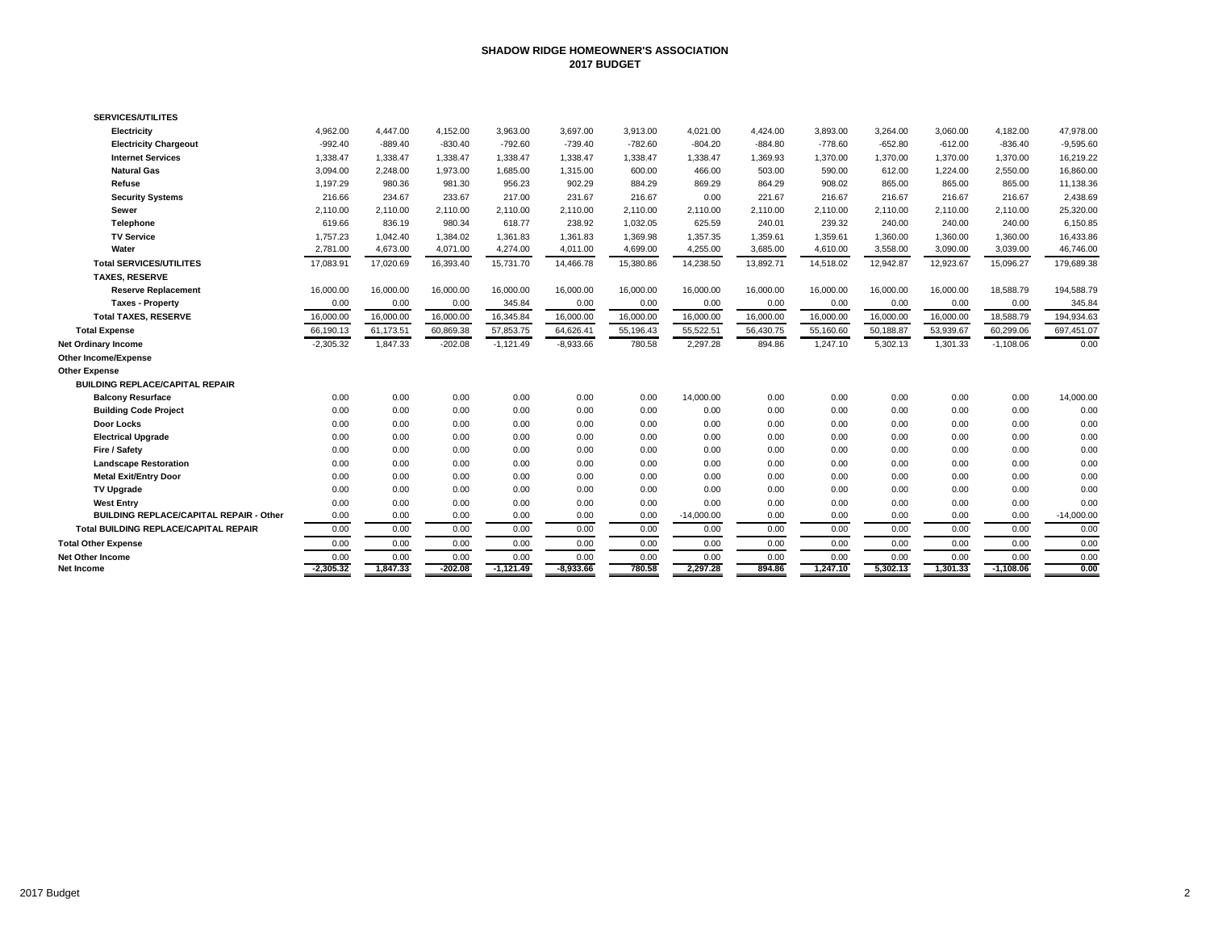### **SHADOW RIDGE HOMEOWNER'S ASSOCIATION 2017 BUDGET**

| <b>SERVICES/UTILITES</b>                       |             |           |           |             |             |           |              |           |           |           |           |             |              |
|------------------------------------------------|-------------|-----------|-----------|-------------|-------------|-----------|--------------|-----------|-----------|-----------|-----------|-------------|--------------|
| Electricity                                    | 4,962.00    | 4,447.00  | 4,152.00  | 3,963.00    | 3,697.00    | 3,913.00  | 4,021.00     | 4,424.00  | 3,893.00  | 3,264.00  | 3,060.00  | 4,182.00    | 47,978.00    |
| <b>Electricity Chargeout</b>                   | $-992.40$   | $-889.40$ | $-830.40$ | $-792.60$   | $-739.40$   | $-782.60$ | $-804.20$    | $-884.80$ | $-778.60$ | $-652.80$ | $-612.00$ | $-836.40$   | $-9,595.60$  |
| <b>Internet Services</b>                       | 1,338.47    | 1.338.47  | 1,338.47  | 1,338.47    | 1,338.47    | 1,338.47  | 1,338.47     | 1.369.93  | 1,370.00  | 1.370.00  | 1,370.00  | 1,370.00    | 16,219.22    |
| <b>Natural Gas</b>                             | 3.094.00    | 2.248.00  | 1.973.00  | 1,685.00    | 1,315.00    | 600.00    | 466.00       | 503.00    | 590.00    | 612.00    | 1,224.00  | 2,550.00    | 16,860.00    |
| Refuse                                         | 1,197.29    | 980.36    | 981.30    | 956.23      | 902.29      | 884.29    | 869.29       | 864.29    | 908.02    | 865.00    | 865.00    | 865.00      | 11,138.36    |
| <b>Security Systems</b>                        | 216.66      | 234.67    | 233.67    | 217.00      | 231.67      | 216.67    | 0.00         | 221.67    | 216.67    | 216.67    | 216.67    | 216.67      | 2,438.69     |
| Sewer                                          | 2.110.00    | 2.110.00  | 2,110.00  | 2.110.00    | 2,110.00    | 2.110.00  | 2,110.00     | 2.110.00  | 2,110.00  | 2,110.00  | 2.110.00  | 2,110.00    | 25,320.00    |
| Telephone                                      | 619.66      | 836.19    | 980.34    | 618.77      | 238.92      | 1,032.05  | 625.59       | 240.01    | 239.32    | 240.00    | 240.00    | 240.00      | 6,150.85     |
| <b>TV Service</b>                              | 1,757.23    | 1,042.40  | 1,384.02  | 1,361.83    | 1,361.83    | 1,369.98  | 1,357.35     | 1,359.61  | 1,359.61  | 1,360.00  | 1,360.00  | 1,360.00    | 16,433.86    |
| Water                                          | 2,781.00    | 4,673.00  | 4,071.00  | 4,274.00    | 4,011.00    | 4,699.00  | 4,255.00     | 3,685.00  | 4,610.00  | 3,558.00  | 3,090.00  | 3,039.00    | 46,746.00    |
| <b>Total SERVICES/UTILITES</b>                 | 17,083.91   | 17,020.69 | 16,393.40 | 15,731.70   | 14,466.78   | 15,380.86 | 14,238.50    | 13,892.71 | 14,518.02 | 12,942.87 | 12,923.67 | 15,096.27   | 179,689.38   |
| <b>TAXES, RESERVE</b>                          |             |           |           |             |             |           |              |           |           |           |           |             |              |
| <b>Reserve Replacement</b>                     | 16,000.00   | 16,000.00 | 16,000.00 | 16,000.00   | 16,000.00   | 16,000.00 | 16,000.00    | 16,000.00 | 16,000.00 | 16,000.00 | 16,000.00 | 18,588.79   | 194,588.79   |
| <b>Taxes - Property</b>                        | 0.00        | 0.00      | 0.00      | 345.84      | 0.00        | 0.00      | 0.00         | 0.00      | 0.00      | 0.00      | 0.00      | 0.00        | 345.84       |
| <b>Total TAXES, RESERVE</b>                    | 16,000.00   | 16,000.00 | 16,000.00 | 16,345.84   | 16,000.00   | 16,000.00 | 16,000.00    | 16,000.00 | 16,000.00 | 16,000.00 | 16,000.00 | 18,588.79   | 194,934.63   |
| <b>Total Expense</b>                           | 66,190.13   | 61,173.51 | 60,869.38 | 57,853.75   | 64,626.41   | 55,196.43 | 55,522.51    | 56,430.75 | 55,160.60 | 50,188.87 | 53,939.67 | 60,299.06   | 697,451.07   |
| Net Ordinary Income                            | $-2,305.32$ | 1,847.33  | $-202.08$ | $-1,121.49$ | $-8,933.66$ | 780.58    | 2,297.28     | 894.86    | 1,247.10  | 5,302.13  | 1,301.33  | $-1,108.06$ | 0.00         |
| Other Income/Expense                           |             |           |           |             |             |           |              |           |           |           |           |             |              |
| Other Expense                                  |             |           |           |             |             |           |              |           |           |           |           |             |              |
| <b>BUILDING REPLACE/CAPITAL REPAIR</b>         |             |           |           |             |             |           |              |           |           |           |           |             |              |
| <b>Balcony Resurface</b>                       | 0.00        | 0.00      | 0.00      | 0.00        | 0.00        | 0.00      | 14,000.00    | 0.00      | 0.00      | 0.00      | 0.00      | 0.00        | 14,000.00    |
| <b>Building Code Project</b>                   | 0.00        | 0.00      | 0.00      | 0.00        | 0.00        | 0.00      | 0.00         | 0.00      | 0.00      | 0.00      | 0.00      | 0.00        | 0.00         |
| Door Locks                                     | 0.00        | 0.00      | 0.00      | 0.00        | 0.00        | 0.00      | 0.00         | 0.00      | 0.00      | 0.00      | 0.00      | 0.00        | 0.00         |
| <b>Electrical Upgrade</b>                      | 0.00        | 0.00      | 0.00      | 0.00        | 0.00        | 0.00      | 0.00         | 0.00      | 0.00      | 0.00      | 0.00      | 0.00        | 0.00         |
| Fire / Safety                                  | 0.00        | 0.00      | 0.00      | 0.00        | 0.00        | 0.00      | 0.00         | 0.00      | 0.00      | 0.00      | 0.00      | 0.00        | 0.00         |
| <b>Landscape Restoration</b>                   | 0.00        | 0.00      | 0.00      | 0.00        | 0.00        | 0.00      | 0.00         | 0.00      | 0.00      | 0.00      | 0.00      | 0.00        | 0.00         |
| <b>Metal Exit/Entry Door</b>                   | 0.00        | 0.00      | 0.00      | 0.00        | 0.00        | 0.00      | 0.00         | 0.00      | 0.00      | 0.00      | 0.00      | 0.00        | 0.00         |
| <b>TV Upgrade</b>                              | 0.00        | 0.00      | 0.00      | 0.00        | 0.00        | 0.00      | 0.00         | 0.00      | 0.00      | 0.00      | 0.00      | 0.00        | 0.00         |
| <b>West Entry</b>                              | 0.00        | 0.00      | 0.00      | 0.00        | 0.00        | 0.00      | 0.00         | 0.00      | 0.00      | 0.00      | 0.00      | 0.00        | 0.00         |
| <b>BUILDING REPLACE/CAPITAL REPAIR - Other</b> | 0.00        | 0.00      | 0.00      | 0.00        | 0.00        | 0.00      | $-14,000.00$ | 0.00      | 0.00      | 0.00      | 0.00      | 0.00        | $-14,000.00$ |
| <b>Total BUILDING REPLACE/CAPITAL REPAIR</b>   | 0.00        | 0.00      | 0.00      | 0.00        | 0.00        | 0.00      | 0.00         | 0.00      | 0.00      | 0.00      | 0.00      | 0.00        | 0.00         |
| <b>Total Other Expense</b>                     | 0.00        | 0.00      | 0.00      | 0.00        | 0.00        | 0.00      | 0.00         | 0.00      | 0.00      | 0.00      | 0.00      | 0.00        | 0.00         |
| Net Other Income                               | 0.00        | 0.00      | 0.00      | 0.00        | 0.00        | 0.00      | 0.00         | 0.00      | 0.00      | 0.00      | 0.00      | 0.00        | 0.00         |
| Net Income                                     | $-2,305.32$ | 1.847.33  | $-202.08$ | $-1.121.49$ | $-8.933.66$ | 780.58    | 2,297.28     | 894.86    | 1.247.10  | 5.302.13  | 1.301.33  | $-1.108.06$ | 0.00         |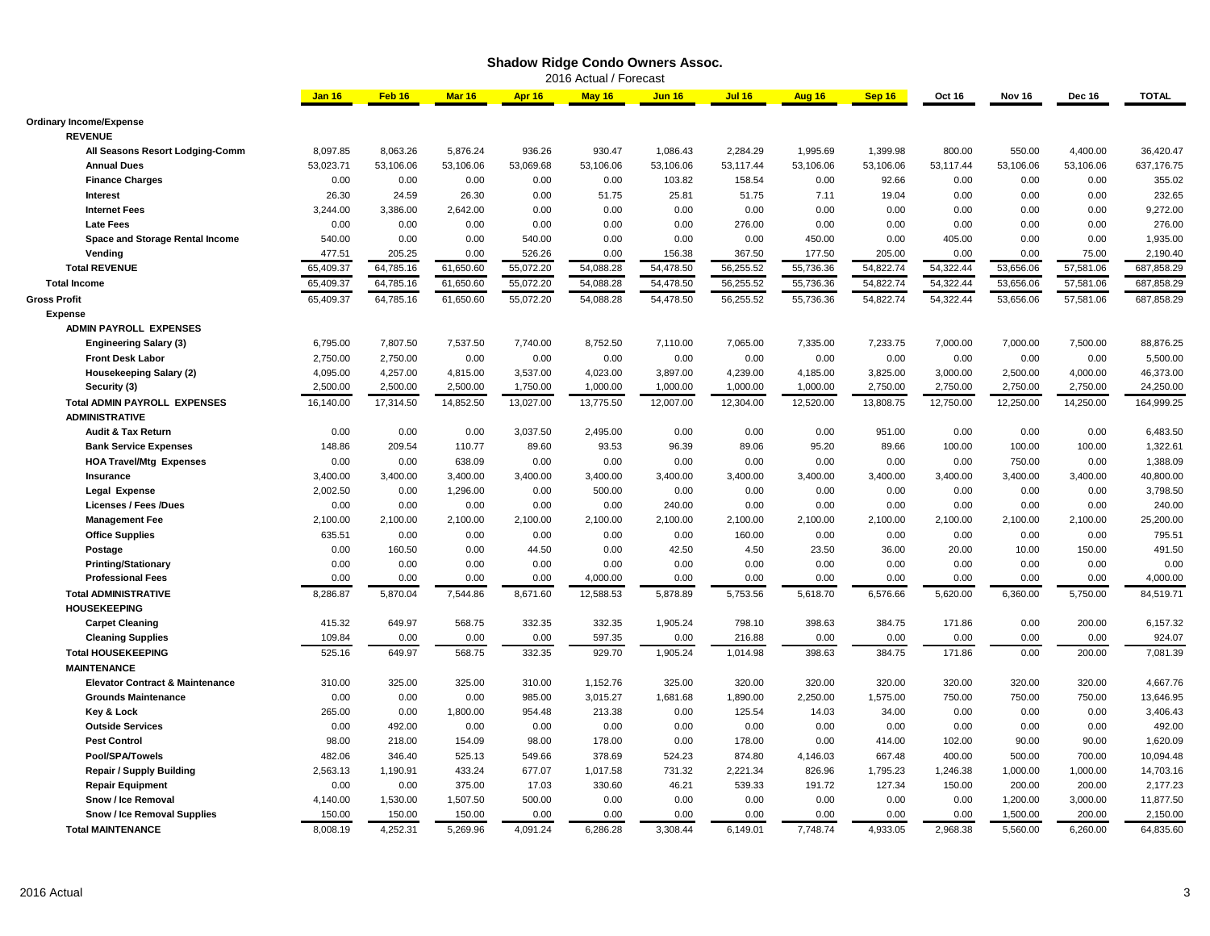|                                            |               |           |           |           |                        | <b>Shadow Ridge Condo Owners Assoc.</b> |               |           |           |           |           |           |              |
|--------------------------------------------|---------------|-----------|-----------|-----------|------------------------|-----------------------------------------|---------------|-----------|-----------|-----------|-----------|-----------|--------------|
|                                            |               |           |           |           | 2016 Actual / Forecast |                                         |               |           |           |           |           |           |              |
|                                            | <b>Jan 16</b> | Feb 16    | Mar 16    | Apr 16    | May 16                 | <b>Jun 16</b>                           | <b>Jul 16</b> | Aug 16    | Sep 16    | Oct 16    | Nov 16    | Dec 16    | <b>TOTAL</b> |
| <b>Ordinary Income/Expense</b>             |               |           |           |           |                        |                                         |               |           |           |           |           |           |              |
| <b>REVENUE</b>                             |               |           |           |           |                        |                                         |               |           |           |           |           |           |              |
| All Seasons Resort Lodging-Comm            | 8,097.85      | 8,063.26  | 5,876.24  | 936.26    | 930.47                 | 1,086.43                                | 2,284.29      | 1,995.69  | 1,399.98  | 800.00    | 550.00    | 4,400.00  | 36,420.47    |
| <b>Annual Dues</b>                         | 53,023.71     | 53,106.06 | 53,106.06 | 53,069.68 | 53,106.06              | 53,106.06                               | 53,117.44     | 53,106.06 | 53,106.06 | 53,117.44 | 53,106.06 | 53,106.06 | 637,176.75   |
| <b>Finance Charges</b>                     | 0.00          | 0.00      | 0.00      | 0.00      | 0.00                   | 103.82                                  | 158.54        | 0.00      | 92.66     | 0.00      | 0.00      | 0.00      | 355.02       |
| Interest                                   | 26.30         | 24.59     | 26.30     | 0.00      | 51.75                  | 25.81                                   | 51.75         | 7.11      | 19.04     | 0.00      | 0.00      | 0.00      | 232.65       |
| <b>Internet Fees</b>                       | 3,244.00      | 3,386.00  | 2,642.00  | 0.00      | 0.00                   | 0.00                                    | 0.00          | 0.00      | 0.00      | 0.00      | 0.00      | 0.00      | 9,272.00     |
| <b>Late Fees</b>                           | 0.00          | 0.00      | 0.00      | 0.00      | 0.00                   | 0.00                                    | 276.00        | 0.00      | 0.00      | 0.00      | 0.00      | 0.00      | 276.00       |
| Space and Storage Rental Income            | 540.00        | 0.00      | 0.00      | 540.00    | 0.00                   | 0.00                                    | 0.00          | 450.00    | 0.00      | 405.00    | 0.00      | 0.00      | 1,935.00     |
| Vending                                    | 477.51        | 205.25    | 0.00      | 526.26    | 0.00                   | 156.38                                  | 367.50        | 177.50    | 205.00    | 0.00      | 0.00      | 75.00     | 2,190.40     |
| <b>Total REVENUE</b>                       | 65,409.37     | 64,785.16 | 61,650.60 | 55,072.20 | 54,088.28              | 54,478.50                               | 56,255.52     | 55,736.36 | 54,822.74 | 54,322.44 | 53,656.06 | 57,581.06 | 687,858.29   |
| <b>Total Income</b>                        | 65,409.37     | 64,785.16 | 61,650.60 | 55,072.20 | 54,088.28              | 54,478.50                               | 56,255.52     | 55,736.36 | 54,822.74 | 54,322.44 | 53,656.06 | 57,581.06 | 687,858.29   |
|                                            | 65,409.37     | 64,785.16 | 61,650.60 | 55,072.20 | 54,088.28              | 54,478.50                               | 56,255.52     | 55,736.36 | 54,822.74 | 54,322.44 | 53,656.06 |           | 687,858.29   |
| <b>Gross Profit</b>                        |               |           |           |           |                        |                                         |               |           |           |           |           | 57,581.06 |              |
| <b>Expense</b>                             |               |           |           |           |                        |                                         |               |           |           |           |           |           |              |
| <b>ADMIN PAYROLL EXPENSES</b>              |               |           |           |           |                        |                                         |               |           |           |           |           |           |              |
| <b>Engineering Salary (3)</b>              | 6,795.00      | 7,807.50  | 7,537.50  | 7,740.00  | 8,752.50               | 7,110.00                                | 7,065.00      | 7,335.00  | 7,233.75  | 7,000.00  | 7,000.00  | 7,500.00  | 88,876.25    |
| <b>Front Desk Labor</b>                    | 2,750.00      | 2,750.00  | 0.00      | 0.00      | 0.00                   | 0.00                                    | 0.00          | 0.00      | 0.00      | 0.00      | 0.00      | 0.00      | 5,500.00     |
| <b>Housekeeping Salary (2)</b>             | 4,095.00      | 4,257.00  | 4,815.00  | 3,537.00  | 4,023.00               | 3,897.00                                | 4,239.00      | 4,185.00  | 3,825.00  | 3,000.00  | 2,500.00  | 4,000.00  | 46,373.00    |
| Security (3)                               | 2,500.00      | 2,500.00  | 2,500.00  | 1,750.00  | 1,000.00               | 1,000.00                                | 1,000.00      | 1,000.00  | 2,750.00  | 2,750.00  | 2,750.00  | 2,750.00  | 24,250.00    |
| <b>Total ADMIN PAYROLL EXPENSES</b>        | 16,140.00     | 17,314.50 | 14,852.50 | 13,027.00 | 13,775.50              | 12,007.00                               | 12,304.00     | 12,520.00 | 13,808.75 | 12,750.00 | 12,250.00 | 14,250.00 | 164,999.25   |
| <b>ADMINISTRATIVE</b>                      |               |           |           |           |                        |                                         |               |           |           |           |           |           |              |
| Audit & Tax Return                         | 0.00          | 0.00      | 0.00      | 3,037.50  | 2,495.00               | 0.00                                    | 0.00          | 0.00      | 951.00    | 0.00      | 0.00      | 0.00      | 6,483.50     |
| <b>Bank Service Expenses</b>               | 148.86        | 209.54    | 110.77    | 89.60     | 93.53                  | 96.39                                   | 89.06         | 95.20     | 89.66     | 100.00    | 100.00    | 100.00    | 1,322.61     |
| <b>HOA Travel/Mtg Expenses</b>             | 0.00          | 0.00      | 638.09    | 0.00      | 0.00                   | 0.00                                    | 0.00          | 0.00      | 0.00      | 0.00      | 750.00    | 0.00      | 1,388.09     |
| Insurance                                  | 3,400.00      | 3,400.00  | 3,400.00  | 3,400.00  | 3,400.00               | 3,400.00                                | 3,400.00      | 3,400.00  | 3,400.00  | 3,400.00  | 3,400.00  | 3,400.00  | 40,800.00    |
| <b>Legal Expense</b>                       | 2,002.50      | 0.00      | 1,296.00  | 0.00      | 500.00                 | 0.00                                    | 0.00          | 0.00      | 0.00      | 0.00      | 0.00      | 0.00      | 3,798.50     |
| Licenses / Fees /Dues                      | 0.00          | 0.00      | 0.00      | 0.00      | 0.00                   | 240.00                                  | 0.00          | 0.00      | 0.00      | 0.00      | 0.00      | 0.00      | 240.00       |
| <b>Management Fee</b>                      | 2,100.00      | 2,100.00  | 2,100.00  | 2,100.00  | 2,100.00               | 2,100.00                                | 2,100.00      | 2,100.00  | 2,100.00  | 2,100.00  | 2,100.00  | 2,100.00  | 25,200.00    |
| <b>Office Supplies</b>                     | 635.51        | 0.00      | 0.00      | 0.00      | 0.00                   | 0.00                                    | 160.00        | 0.00      | 0.00      | 0.00      | 0.00      | 0.00      | 795.51       |
| Postage                                    | 0.00          | 160.50    | 0.00      | 44.50     | 0.00                   | 42.50                                   | 4.50          | 23.50     | 36.00     | 20.00     | 10.00     | 150.00    | 491.50       |
| <b>Printing/Stationary</b>                 | 0.00          | 0.00      | 0.00      | 0.00      | 0.00                   | 0.00                                    | 0.00          | 0.00      | 0.00      | 0.00      | 0.00      | 0.00      | 0.00         |
| <b>Professional Fees</b>                   | 0.00          | 0.00      | 0.00      | 0.00      | 4,000.00               | 0.00                                    | 0.00          | 0.00      | 0.00      | 0.00      | 0.00      | 0.00      | 4,000.00     |
| <b>Total ADMINISTRATIVE</b>                | 8,286.87      | 5,870.04  | 7,544.86  | 8,671.60  | 12,588.53              | 5,878.89                                | 5,753.56      | 5,618.70  | 6,576.66  | 5,620.00  | 6,360.00  | 5,750.00  | 84,519.71    |
| <b>HOUSEKEEPING</b>                        |               |           |           |           |                        |                                         |               |           |           |           |           |           |              |
| <b>Carpet Cleaning</b>                     | 415.32        | 649.97    | 568.75    | 332.35    | 332.35                 | 1,905.24                                | 798.10        | 398.63    | 384.75    | 171.86    | 0.00      | 200.00    | 6,157.32     |
| <b>Cleaning Supplies</b>                   | 109.84        | 0.00      | 0.00      | 0.00      | 597.35                 | 0.00                                    | 216.88        | 0.00      | 0.00      | 0.00      | 0.00      | 0.00      | 924.07       |
| <b>Total HOUSEKEEPING</b>                  | 525.16        | 649.97    | 568.75    | 332.35    | 929.70                 | 1,905.24                                | 1,014.98      | 398.63    | 384.75    | 171.86    | 0.00      | 200.00    | 7,081.39     |
| <b>MAINTENANCE</b>                         |               |           |           |           |                        |                                         |               |           |           |           |           |           |              |
| <b>Elevator Contract &amp; Maintenance</b> | 310.00        | 325.00    | 325.00    | 310.00    | 1,152.76               | 325.00                                  | 320.00        | 320.00    | 320.00    | 320.00    | 320.00    | 320.00    | 4,667.76     |
| <b>Grounds Maintenance</b>                 | 0.00          | 0.00      | 0.00      | 985.00    | 3,015.27               | 1,681.68                                | 1,890.00      | 2,250.00  | 1,575.00  | 750.00    | 750.00    | 750.00    | 13,646.95    |
| <b>Key &amp; Lock</b>                      | 265.00        | 0.00      | 1,800.00  | 954.48    | 213.38                 | 0.00                                    | 125.54        | 14.03     | 34.00     | 0.00      | 0.00      | 0.00      | 3,406.43     |
| <b>Outside Services</b>                    | 0.00          | 492.00    | 0.00      | 0.00      | 0.00                   | 0.00                                    | 0.00          | 0.00      | 0.00      | 0.00      | 0.00      | 0.00      | 492.00       |
| <b>Pest Control</b>                        | 98.00         | 218.00    | 154.09    | 98.00     | 178.00                 | 0.00                                    | 178.00        | 0.00      | 414.00    | 102.00    | 90.00     | 90.00     | 1,620.09     |
| Pool/SPA/Towels                            | 482.06        | 346.40    | 525.13    | 549.66    | 378.69                 | 524.23                                  | 874.80        | 4,146.03  | 667.48    | 400.00    | 500.00    | 700.00    | 10,094.48    |
| <b>Repair / Supply Building</b>            | 2,563.13      | 1,190.91  | 433.24    | 677.07    | 1,017.58               | 731.32                                  | 2,221.34      | 826.96    | 1,795.23  | 1,246.38  | 1,000.00  | 1,000.00  | 14,703.16    |
| <b>Repair Equipment</b>                    | 0.00          | 0.00      | 375.00    | 17.03     | 330.60                 | 46.21                                   | 539.33        | 191.72    | 127.34    | 150.00    | 200.00    | 200.00    | 2,177.23     |
| Snow / Ice Removal                         | 4,140.00      | 1,530.00  | 1,507.50  | 500.00    | 0.00                   | 0.00                                    | 0.00          | 0.00      | 0.00      | 0.00      | 1,200.00  | 3,000.00  | 11,877.50    |
| Snow / Ice Removal Supplies                | 150.00        | 150.00    | 150.00    | 0.00      | 0.00                   | 0.00                                    | 0.00          | 0.00      | 0.00      | 0.00      | 1,500.00  | 200.00    | 2,150.00     |
| <b>Total MAINTENANCE</b>                   | 8.008.19      | 4.252.31  | 5,269.96  | 4,091.24  | 6,286.28               | 3,308.44                                | 6,149.01      | 7,748.74  | 4.933.05  | 2,968.38  | 5,560.00  | 6.260.00  | 64,835.60    |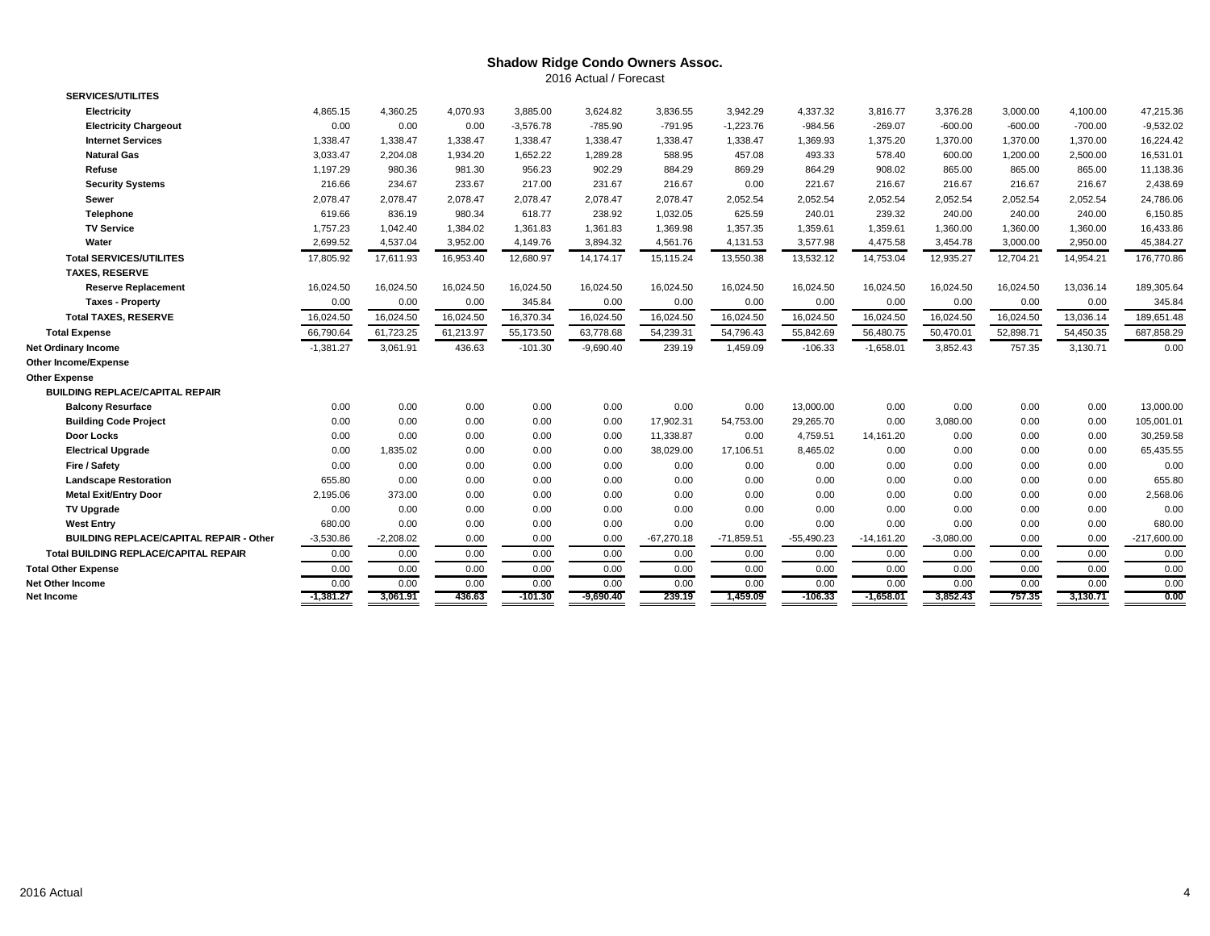## **Shadow Ridge Condo Owners Assoc.** 2016 Actual / Forecast

| <b>SERVICES/UTILITES</b>                       |             |             |           |             |             |              |              |              |              |             |           |           |               |
|------------------------------------------------|-------------|-------------|-----------|-------------|-------------|--------------|--------------|--------------|--------------|-------------|-----------|-----------|---------------|
| <b>Electricity</b>                             | 4,865.15    | 4,360.25    | 4,070.93  | 3,885.00    | 3,624.82    | 3,836.55     | 3,942.29     | 4,337.32     | 3,816.77     | 3,376.28    | 3,000.00  | 4,100.00  | 47,215.36     |
| <b>Electricity Chargeout</b>                   | 0.00        | 0.00        | 0.00      | $-3,576.78$ | $-785.90$   | $-791.95$    | $-1,223.76$  | $-984.56$    | $-269.07$    | $-600.00$   | $-600.00$ | $-700.00$ | $-9,532.02$   |
| <b>Internet Services</b>                       | 1,338.47    | 1,338.47    | 1,338.47  | 1,338.47    | 1,338.47    | 1,338.47     | 1,338.47     | 1,369.93     | 1,375.20     | 1,370.00    | 1,370.00  | 1,370.00  | 16,224.42     |
| <b>Natural Gas</b>                             | 3,033.47    | 2,204.08    | 1,934.20  | 1,652.22    | 1,289.28    | 588.95       | 457.08       | 493.33       | 578.40       | 600.00      | 1,200.00  | 2,500.00  | 16,531.01     |
| Refuse                                         | 1,197.29    | 980.36      | 981.30    | 956.23      | 902.29      | 884.29       | 869.29       | 864.29       | 908.02       | 865.00      | 865.00    | 865.00    | 11,138.36     |
| <b>Security Systems</b>                        | 216.66      | 234.67      | 233.67    | 217.00      | 231.67      | 216.67       | 0.00         | 221.67       | 216.67       | 216.67      | 216.67    | 216.67    | 2,438.69      |
| Sewer                                          | 2,078.47    | 2,078.47    | 2,078.47  | 2,078.47    | 2,078.47    | 2,078.47     | 2,052.54     | 2,052.54     | 2,052.54     | 2,052.54    | 2,052.54  | 2,052.54  | 24,786.06     |
| Telephone                                      | 619.66      | 836.19      | 980.34    | 618.77      | 238.92      | 1,032.05     | 625.59       | 240.01       | 239.32       | 240.00      | 240.00    | 240.00    | 6,150.85      |
| <b>TV Service</b>                              | 1,757.23    | 1,042.40    | 1,384.02  | 1,361.83    | 1,361.83    | 1,369.98     | 1,357.35     | 1,359.61     | 1,359.61     | 1,360.00    | 1,360.00  | 1,360.00  | 16,433.86     |
| Water                                          | 2,699.52    | 4,537.04    | 3,952.00  | 4,149.76    | 3,894.32    | 4,561.76     | 4,131.53     | 3,577.98     | 4,475.58     | 3,454.78    | 3,000.00  | 2,950.00  | 45,384.27     |
| <b>Total SERVICES/UTILITES</b>                 | 17,805.92   | 17,611.93   | 16,953.40 | 12,680.97   | 14,174.17   | 15,115.24    | 13,550.38    | 13,532.12    | 14,753.04    | 12,935.27   | 12,704.21 | 14,954.21 | 176,770.86    |
| <b>TAXES, RESERVE</b>                          |             |             |           |             |             |              |              |              |              |             |           |           |               |
| <b>Reserve Replacement</b>                     | 16,024.50   | 16,024.50   | 16,024.50 | 16,024.50   | 16,024.50   | 16,024.50    | 16,024.50    | 16,024.50    | 16,024.50    | 16,024.50   | 16,024.50 | 13,036.14 | 189,305.64    |
| <b>Taxes - Property</b>                        | 0.00        | 0.00        | 0.00      | 345.84      | 0.00        | 0.00         | 0.00         | 0.00         | 0.00         | 0.00        | 0.00      | 0.00      | 345.84        |
| <b>Total TAXES, RESERVE</b>                    | 16,024.50   | 16,024.50   | 16,024.50 | 16,370.34   | 16,024.50   | 16,024.50    | 16,024.50    | 16,024.50    | 16,024.50    | 16,024.50   | 16,024.50 | 13,036.14 | 189,651.48    |
| <b>Total Expense</b>                           | 66,790.64   | 61,723.25   | 61,213.97 | 55,173.50   | 63,778.68   | 54,239.31    | 54,796.43    | 55,842.69    | 56,480.75    | 50,470.01   | 52,898.71 | 54,450.35 | 687,858.29    |
| Net Ordinary Income                            | $-1,381.27$ | 3.061.91    | 436.63    | $-101.30$   | $-9,690.40$ | 239.19       | 1,459.09     | $-106.33$    | $-1,658.01$  | 3,852.43    | 757.35    | 3,130.71  | 0.00          |
| Other Income/Expense                           |             |             |           |             |             |              |              |              |              |             |           |           |               |
| <b>Other Expense</b>                           |             |             |           |             |             |              |              |              |              |             |           |           |               |
| <b>BUILDING REPLACE/CAPITAL REPAIR</b>         |             |             |           |             |             |              |              |              |              |             |           |           |               |
| <b>Balcony Resurface</b>                       | 0.00        | 0.00        | 0.00      | 0.00        | 0.00        | 0.00         | 0.00         | 13,000.00    | 0.00         | 0.00        | 0.00      | 0.00      | 13,000.00     |
| <b>Building Code Project</b>                   | 0.00        | 0.00        | 0.00      | 0.00        | 0.00        | 17,902.31    | 54,753.00    | 29,265.70    | 0.00         | 3,080.00    | 0.00      | 0.00      | 105,001.01    |
| Door Locks                                     | 0.00        | 0.00        | 0.00      | 0.00        | 0.00        | 11,338.87    | 0.00         | 4,759.51     | 14,161.20    | 0.00        | 0.00      | 0.00      | 30,259.58     |
| <b>Electrical Upgrade</b>                      | 0.00        | 1,835.02    | 0.00      | 0.00        | 0.00        | 38,029.00    | 17,106.51    | 8,465.02     | 0.00         | 0.00        | 0.00      | 0.00      | 65,435.55     |
| Fire / Safety                                  | 0.00        | 0.00        | 0.00      | 0.00        | 0.00        | 0.00         | 0.00         | 0.00         | 0.00         | 0.00        | 0.00      | 0.00      | 0.00          |
| <b>Landscape Restoration</b>                   | 655.80      | 0.00        | 0.00      | 0.00        | 0.00        | 0.00         | 0.00         | 0.00         | 0.00         | 0.00        | 0.00      | 0.00      | 655.80        |
| <b>Metal Exit/Entry Door</b>                   | 2,195.06    | 373.00      | 0.00      | 0.00        | 0.00        | 0.00         | 0.00         | 0.00         | 0.00         | 0.00        | 0.00      | 0.00      | 2,568.06      |
| <b>TV Upgrade</b>                              | 0.00        | 0.00        | 0.00      | 0.00        | 0.00        | 0.00         | 0.00         | 0.00         | 0.00         | 0.00        | 0.00      | 0.00      | 0.00          |
| <b>West Entry</b>                              | 680.00      | 0.00        | 0.00      | 0.00        | 0.00        | 0.00         | 0.00         | 0.00         | 0.00         | 0.00        | 0.00      | 0.00      | 680.00        |
| <b>BUILDING REPLACE/CAPITAL REPAIR - Other</b> | $-3,530.86$ | $-2,208.02$ | 0.00      | 0.00        | 0.00        | $-67,270.18$ | $-71,859.51$ | $-55,490.23$ | $-14,161.20$ | $-3,080.00$ | 0.00      | 0.00      | $-217,600.00$ |
| <b>Total BUILDING REPLACE/CAPITAL REPAIR</b>   | 0.00        | 0.00        | 0.00      | 0.00        | 0.00        | 0.00         | 0.00         | 0.00         | 0.00         | 0.00        | 0.00      | 0.00      | 0.00          |
| <b>Total Other Expense</b>                     | 0.00        | 0.00        | 0.00      | 0.00        | 0.00        | 0.00         | 0.00         | 0.00         | 0.00         | 0.00        | 0.00      | 0.00      | 0.00          |
| Net Other Income                               | 0.00        | 0.00        | 0.00      | 0.00        | 0.00        | 0.00         | 0.00         | 0.00         | 0.00         | 0.00        | 0.00      | 0.00      | 0.00          |
| Net Income                                     | $-1,381.27$ | 3,061.91    | 436.63    | $-101.30$   | $-9,690.40$ | 239.19       | 1,459.09     | $-106.33$    | $-1,658.01$  | 3,852.43    | 757.35    | 3,130.71  | 0.00          |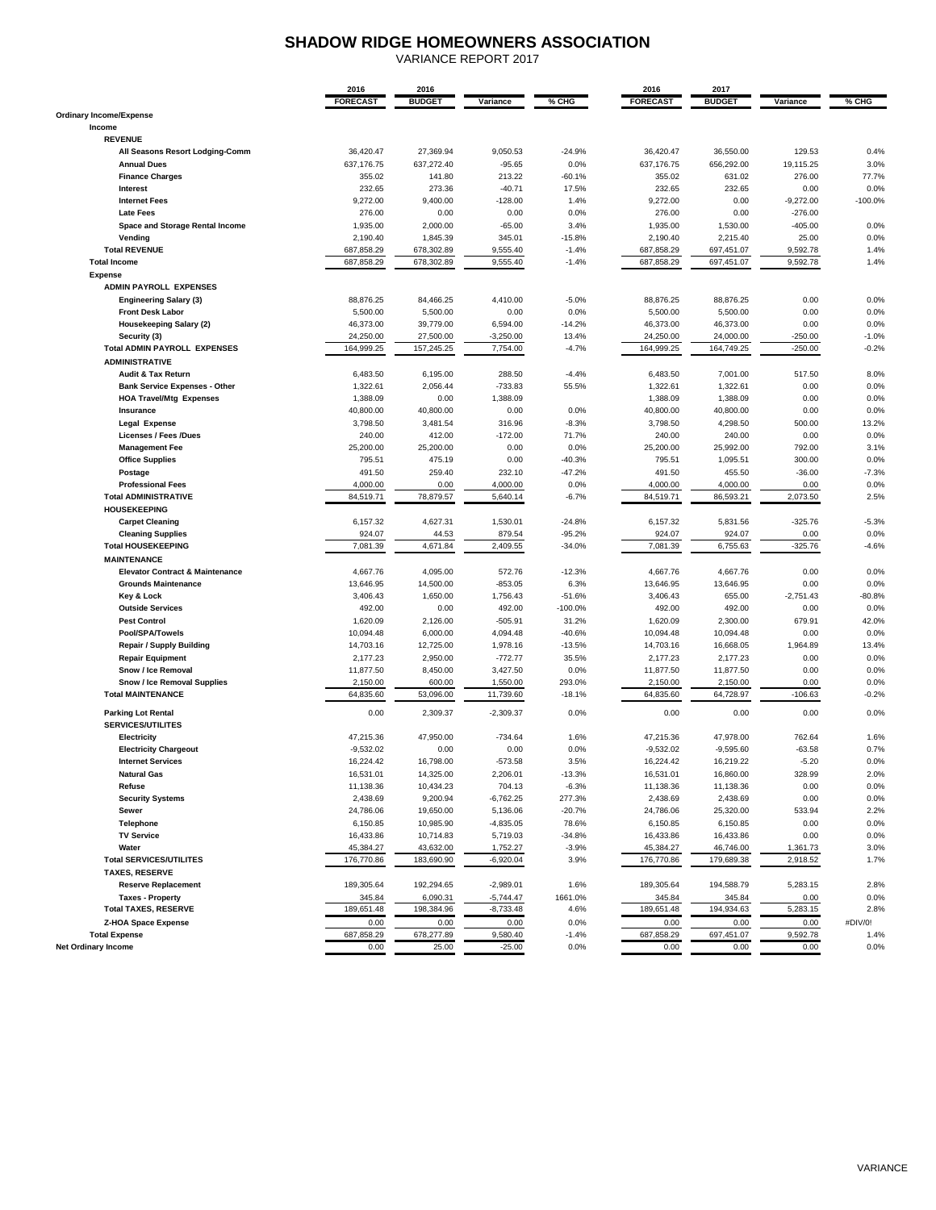# **SHADOW RIDGE HOMEOWNERS ASSOCIATION**

VARIANCE REPORT 2017

|                                            | 2016                  | 2016                  |             |                 | 2016                  | 2017                  |                        |           |
|--------------------------------------------|-----------------------|-----------------------|-------------|-----------------|-----------------------|-----------------------|------------------------|-----------|
|                                            | <b>FORECAST</b>       | <b>BUDGET</b>         | Variance    | % CHG           | <b>FORECAST</b>       | <b>BUDGET</b>         | Variance               | % CHG     |
| <b>Ordinary Income/Expense</b>             |                       |                       |             |                 |                       |                       |                        |           |
| Income                                     |                       |                       |             |                 |                       |                       |                        |           |
| <b>REVENUE</b>                             |                       |                       |             |                 |                       |                       |                        |           |
| All Seasons Resort Lodging-Comm            | 36,420.47             | 27,369.94             | 9,050.53    | $-24.9%$        | 36,420.47             | 36,550.00             | 129.53                 | 0.4%      |
| <b>Annual Dues</b>                         | 637,176.75            | 637,272.40            | $-95.65$    | 0.0%            | 637,176.75            | 656,292.00            | 19,115.25              | 3.0%      |
| <b>Finance Charges</b>                     | 355.02                | 141.80                | 213.22      | $-60.1%$        | 355.02                | 631.02                | 276.00                 | 77.7%     |
| Interest                                   | 232.65                | 273.36                | $-40.71$    | 17.5%           | 232.65                | 232.65                | 0.00                   | 0.0%      |
| <b>Internet Fees</b>                       | 9,272.00              | 9,400.00              | $-128.00$   | 1.4%            | 9,272.00              | 0.00                  | $-9,272.00$            | $-100.0%$ |
| <b>Late Fees</b>                           | 276.00                | 0.00                  | 0.00        | 0.0%            | 276.00                | 0.00                  | $-276.00$              |           |
| Space and Storage Rental Income            | 1,935.00              | 2,000.00              | $-65.00$    | 3.4%            | 1,935.00              | 1,530.00              | $-405.00$              | 0.0%      |
| Vending                                    | 2,190.40              | 1,845.39              | 345.01      | $-15.8%$        | 2,190.40              | 2,215.40              | 25.00                  | 0.0%      |
| <b>Total REVENUE</b>                       | 687,858.29            | 678,302.89            | 9,555.40    | $-1.4%$         | 687,858.29            | 697,451.07            | 9,592.78               | 1.4%      |
| <b>Total Income</b>                        | 687,858.29            | 678,302.89            | 9,555.40    | $-1.4%$         | 687,858.29            | 697,451.07            | 9,592.78               | 1.4%      |
| <b>Expense</b>                             |                       |                       |             |                 |                       |                       |                        |           |
| <b>ADMIN PAYROLL EXPENSES</b>              |                       |                       |             |                 |                       |                       |                        |           |
|                                            | 88,876.25             | 84,466.25             | 4,410.00    |                 | 88,876.25             | 88,876.25             | 0.00                   | 0.0%      |
| <b>Engineering Salary (3)</b>              |                       |                       | 0.00        | $-5.0%$<br>0.0% |                       |                       | 0.00                   | 0.0%      |
| <b>Front Desk Labor</b>                    | 5,500.00<br>46,373.00 | 5,500.00<br>39,779.00 |             | $-14.2%$        | 5,500.00<br>46,373.00 | 5,500.00<br>46,373.00 | 0.00                   | 0.0%      |
| <b>Housekeeping Salary (2)</b>             |                       |                       | 6,594.00    |                 |                       |                       |                        |           |
| Security (3)                               | 24,250.00             | 27,500.00             | $-3,250.00$ | 13.4%           | 24,250.00             | 24,000.00             | $-250.00$<br>$-250.00$ | $-1.0%$   |
| <b>Total ADMIN PAYROLL EXPENSES</b>        | 164,999.25            | 157,245.25            | 7,754.00    | $-4.7%$         | 164,999.25            | 164,749.25            |                        | $-0.2%$   |
| <b>ADMINISTRATIVE</b>                      |                       |                       |             |                 |                       |                       |                        |           |
| Audit & Tax Return                         | 6,483.50              | 6,195.00              | 288.50      | $-4.4%$         | 6,483.50              | 7,001.00              | 517.50                 | 8.0%      |
| <b>Bank Service Expenses - Other</b>       | 1,322.61              | 2,056.44              | $-733.83$   | 55.5%           | 1,322.61              | 1,322.61              | 0.00                   | 0.0%      |
| <b>HOA Travel/Mtg Expenses</b>             | 1,388.09              | 0.00                  | 1,388.09    |                 | 1,388.09              | 1,388.09              | 0.00                   | 0.0%      |
| Insurance                                  | 40,800.00             | 40,800.00             | 0.00        | 0.0%            | 40,800.00             | 40,800.00             | 0.00                   | 0.0%      |
| <b>Legal Expense</b>                       | 3,798.50              | 3,481.54              | 316.96      | $-8.3%$         | 3,798.50              | 4,298.50              | 500.00                 | 13.2%     |
| <b>Licenses / Fees /Dues</b>               | 240.00                | 412.00                | $-172.00$   | 71.7%           | 240.00                | 240.00                | 0.00                   | 0.0%      |
| <b>Management Fee</b>                      | 25,200.00             | 25,200.00             | 0.00        | 0.0%            | 25,200.00             | 25,992.00             | 792.00                 | 3.1%      |
| <b>Office Supplies</b>                     | 795.51                | 475.19                | 0.00        | $-40.3%$        | 795.51                | 1,095.51              | 300.00                 | 0.0%      |
| Postage                                    | 491.50                | 259.40                | 232.10      | $-47.2%$        | 491.50                | 455.50                | $-36.00$               | $-7.3%$   |
| <b>Professional Fees</b>                   | 4,000.00              | 0.00                  | 4,000.00    | 0.0%            | 4,000.00              | 4,000.00              | 0.00                   | 0.0%      |
| <b>Total ADMINISTRATIVE</b>                | 84,519.71             | 78,879.57             | 5,640.14    | $-6.7%$         | 84,519.71             | 86,593.21             | 2,073.50               | 2.5%      |
| <b>HOUSEKEEPING</b>                        |                       |                       |             |                 |                       |                       |                        |           |
| <b>Carpet Cleaning</b>                     | 6,157.32              | 4,627.31              | 1,530.01    | $-24.8%$        | 6,157.32              | 5,831.56              | $-325.76$              | $-5.3%$   |
| <b>Cleaning Supplies</b>                   | 924.07                | 44.53                 | 879.54      | $-95.2%$        | 924.07                | 924.07                | 0.00                   | 0.0%      |
| <b>Total HOUSEKEEPING</b>                  | 7,081.39              | 4,671.84              | 2,409.55    | $-34.0%$        | 7,081.39              | 6,755.63              | $-325.76$              | $-4.6%$   |
| <b>MAINTENANCE</b>                         |                       |                       |             |                 |                       |                       |                        |           |
| <b>Elevator Contract &amp; Maintenance</b> | 4,667.76              | 4,095.00              | 572.76      | $-12.3%$        | 4,667.76              | 4,667.76              | 0.00                   | 0.0%      |
| <b>Grounds Maintenance</b>                 | 13,646.95             | 14,500.00             | $-853.05$   | 6.3%            | 13,646.95             | 13,646.95             | 0.00                   | 0.0%      |
| Key & Lock                                 | 3,406.43              | 1,650.00              | 1,756.43    | $-51.6%$        | 3,406.43              | 655.00                | $-2,751.43$            | $-80.8%$  |
| <b>Outside Services</b>                    | 492.00                | 0.00                  | 492.00      | $-100.0%$       | 492.00                | 492.00                | 0.00                   | 0.0%      |
| <b>Pest Control</b>                        | 1,620.09              | 2,126.00              | $-505.91$   | 31.2%           | 1,620.09              | 2,300.00              | 679.91                 | 42.0%     |
| Pool/SPA/Towels                            | 10,094.48             | 6,000.00              | 4,094.48    | $-40.6%$        | 10,094.48             | 10,094.48             | 0.00                   | 0.0%      |
| <b>Repair / Supply Building</b>            | 14,703.16             | 12,725.00             | 1,978.16    | $-13.5%$        | 14,703.16             | 16,668.05             | 1,964.89               | 13.4%     |
| <b>Repair Equipment</b>                    | 2,177.23              | 2,950.00              | $-772.77$   | 35.5%           | 2,177.23              | 2,177.23              | 0.00                   | 0.0%      |
| Snow / Ice Removal                         | 11,877.50             | 8,450.00              | 3,427.50    | 0.0%            | 11,877.50             | 11,877.50             | 0.00                   | 0.0%      |
| <b>Snow / Ice Removal Supplies</b>         | 2,150.00              | 600.00                | 1,550.00    | 293.0%          | 2,150.00              | 2,150.00              | 0.00                   | 0.0%      |
| <b>Total MAINTENANCE</b>                   | 64,835.60             | 53,096.00             | 11,739.60   | $-18.1%$        | 64,835.60             | 64,728.97             | $-106.63$              | $-0.2%$   |
|                                            |                       |                       |             |                 |                       |                       |                        |           |
| <b>Parking Lot Rental</b>                  | 0.00                  | 2.309.37              | $-2,309.37$ | 0.0%            | 0.00                  | 0.00                  | 0.00                   | 0.0%      |
| <b>SERVICES/UTILITES</b>                   |                       |                       |             |                 |                       |                       |                        |           |
| Electricity                                | 47,215.36             | 47,950.00             | $-734.64$   | 1.6%            | 47,215.36             | 47,978.00             | 762.64                 | 1.6%      |
| <b>Electricity Chargeout</b>               | $-9.532.02$           | 0.00                  | 0.00        | 0.0%            | $-9.532.02$           | $-9,595.60$           | $-63.58$               | 0.7%      |
| <b>Internet Services</b>                   | 16,224.42             | 16,798.00             | $-573.58$   | 3.5%            | 16,224.42             | 16,219.22             | $-5.20$                | 0.0%      |
| <b>Natural Gas</b>                         | 16,531.01             | 14,325.00             | 2,206.01    | $-13.3%$        | 16,531.01             | 16,860.00             | 328.99                 | 2.0%      |
| Refuse                                     | 11,138.36             | 10,434.23             | 704.13      | $-6.3%$         | 11,138.36             | 11,138.36             | 0.00                   | 0.0%      |
| <b>Security Systems</b>                    | 2,438.69              | 9,200.94              | $-6,762.25$ | 277.3%          | 2,438.69              | 2,438.69              | 0.00                   | 0.0%      |
| Sewer                                      | 24,786.06             | 19,650.00             | 5,136.06    | $-20.7%$        | 24,786.06             | 25,320.00             | 533.94                 | 2.2%      |
| Telephone                                  | 6,150.85              | 10,985.90             | $-4,835.05$ | 78.6%           | 6,150.85              | 6,150.85              | 0.00                   | 0.0%      |
| <b>TV Service</b>                          | 16,433.86             | 10,714.83             | 5,719.03    | $-34.8%$        | 16,433.86             | 16,433.86             | 0.00                   | 0.0%      |
| Water                                      | 45,384.27             | 43,632.00             | 1,752.27    | $-3.9%$         | 45,384.27             | 46,746.00             | 1,361.73               | 3.0%      |
| <b>Total SERVICES/UTILITES</b>             | 176,770.86            | 183,690.90            | $-6,920.04$ | 3.9%            | 176,770.86            | 179,689.38            | 2,918.52               | 1.7%      |
| <b>TAXES, RESERVE</b>                      |                       |                       |             |                 |                       |                       |                        |           |
| <b>Reserve Replacement</b>                 | 189,305.64            | 192,294.65            | $-2,989.01$ | 1.6%            | 189,305.64            | 194,588.79            | 5,283.15               | 2.8%      |
| <b>Taxes - Property</b>                    | 345.84                | 6,090.31              | $-5,744.47$ | 1661.0%         | 345.84                | 345.84                | 0.00                   | 0.0%      |
| <b>Total TAXES, RESERVE</b>                | 189,651.48            | 198,384.96            | $-8,733.48$ | 4.6%            | 189,651.48            | 194,934.63            | 5,283.15               | 2.8%      |
| <b>Z-HOA Space Expense</b>                 | 0.00                  | 0.00                  | 0.00        | 0.0%            | 0.00                  | 0.00                  | 0.00                   | #DIV/0!   |
| <b>Total Expense</b>                       | 687,858.29            | 678,277.89            | 9,580.40    |                 | 687,858.29            | 697,451.07            | 9,592.78               | 1.4%      |
|                                            | 0.00                  | 25.00                 | $-25.00$    | $-1.4%$<br>0.0% | 0.00                  | 0.00                  | 0.00                   |           |
| <b>Net Ordinary Income</b>                 |                       |                       |             |                 |                       |                       |                        | 0.0%      |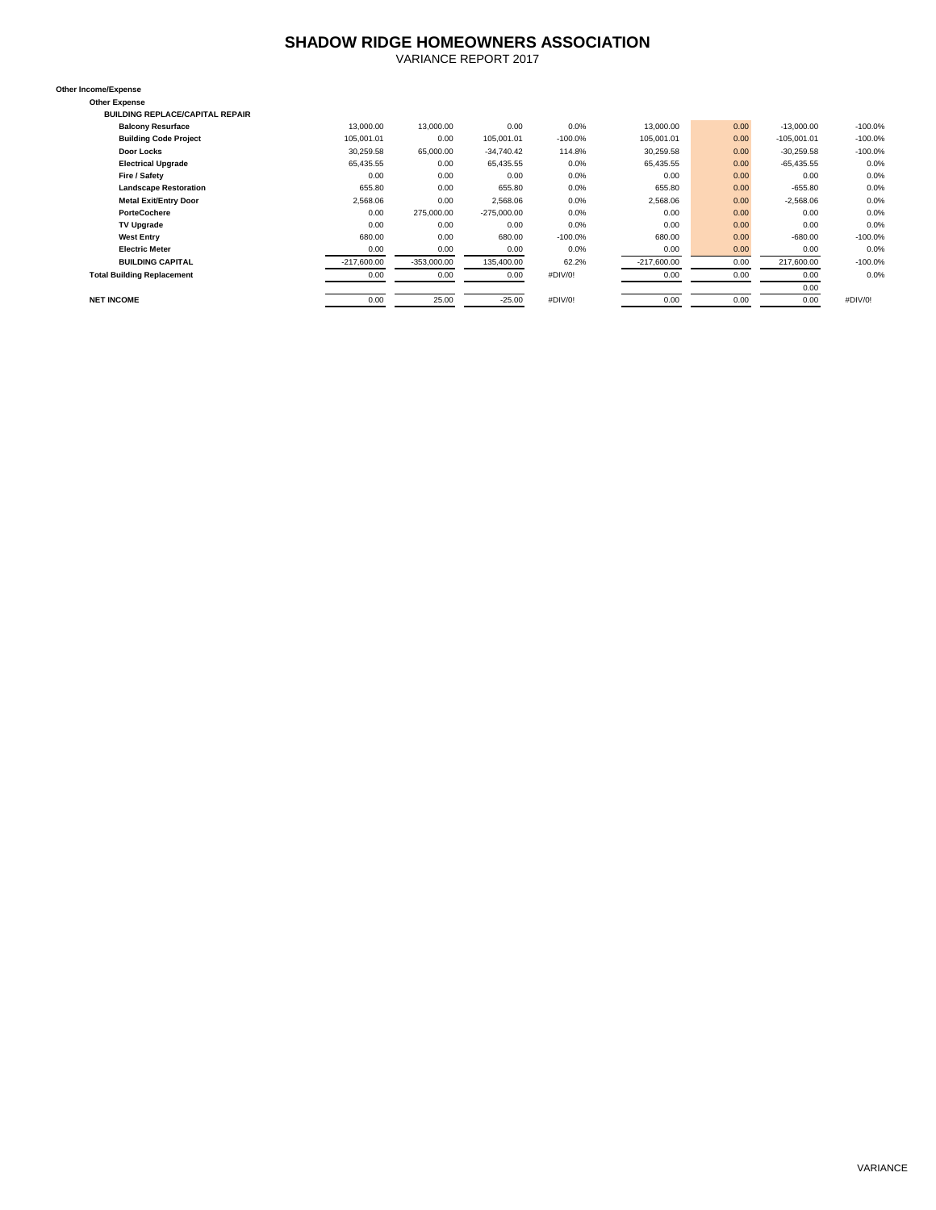# **SHADOW RIDGE HOMEOWNERS ASSOCIATION**

VARIANCE REPORT 2017

**Other Income/Expense Other Expense**

**BUILDING REPLACE/CAPITAL REPAIR**

| <b>Balcony Resurface</b>          | 13,000.00     | 13,000.00     | 0.00          | 0.0%      | 13,000.00     | 0.00 | $-13,000.00$  | $-100.0%$ |
|-----------------------------------|---------------|---------------|---------------|-----------|---------------|------|---------------|-----------|
| <b>Building Code Project</b>      | 105,001.01    | 0.00          | 105,001.01    | $-100.0%$ | 105.001.01    | 0.00 | $-105,001.01$ | $-100.0%$ |
| Door Locks                        | 30.259.58     | 65,000.00     | $-34.740.42$  | 114.8%    | 30,259.58     | 0.00 | $-30,259.58$  | $-100.0%$ |
| <b>Electrical Upgrade</b>         | 65,435.55     | 0.00          | 65,435.55     | 0.0%      | 65.435.55     | 0.00 | $-65,435.55$  | 0.0%      |
| Fire / Safety                     | 0.00          | 0.00          | 0.00          | 0.0%      | 0.00          | 0.00 | 0.00          | 0.0%      |
| <b>Landscape Restoration</b>      | 655.80        | 0.00          | 655.80        | 0.0%      | 655.80        | 0.00 | $-655.80$     | 0.0%      |
| <b>Metal Exit/Entry Door</b>      | 2,568.06      | 0.00          | 2.568.06      | 0.0%      | 2,568.06      | 0.00 | $-2,568.06$   | 0.0%      |
| <b>PorteCochere</b>               | 0.00          | 275,000.00    | $-275,000.00$ | 0.0%      | 0.00          | 0.00 | 0.00          | 0.0%      |
| <b>TV Upgrade</b>                 | 0.00          | 0.00          | 0.00          | 0.0%      | 0.00          | 0.00 | 0.00          | 0.0%      |
| <b>West Entry</b>                 | 680.00        | 0.00          | 680.00        | $-100.0%$ | 680.00        | 0.00 | $-680.00$     | $-100.0%$ |
| <b>Electric Meter</b>             | 0.00          | 0.00          | 0.00          | 0.0%      | 0.00          | 0.00 | 0.00          | 0.0%      |
| <b>BUILDING CAPITAL</b>           | $-217,600.00$ | $-353,000.00$ | 135,400.00    | 62.2%     | $-217,600.00$ | 0.00 | 217,600.00    | $-100.0%$ |
| <b>Total Building Replacement</b> | 0.00          | 0.00          | 0.00          | #DIV/0!   | 0.00          | 0.00 | 0.00          | 0.0%      |
|                                   |               |               |               |           |               |      | 0.00          |           |
| <b>NET INCOME</b>                 | 0.00          | 25.00         | $-25.00$      | #DIV/0!   | 0.00          | 0.00 | 0.00          | #DIV/0!   |
|                                   |               |               |               |           |               |      |               |           |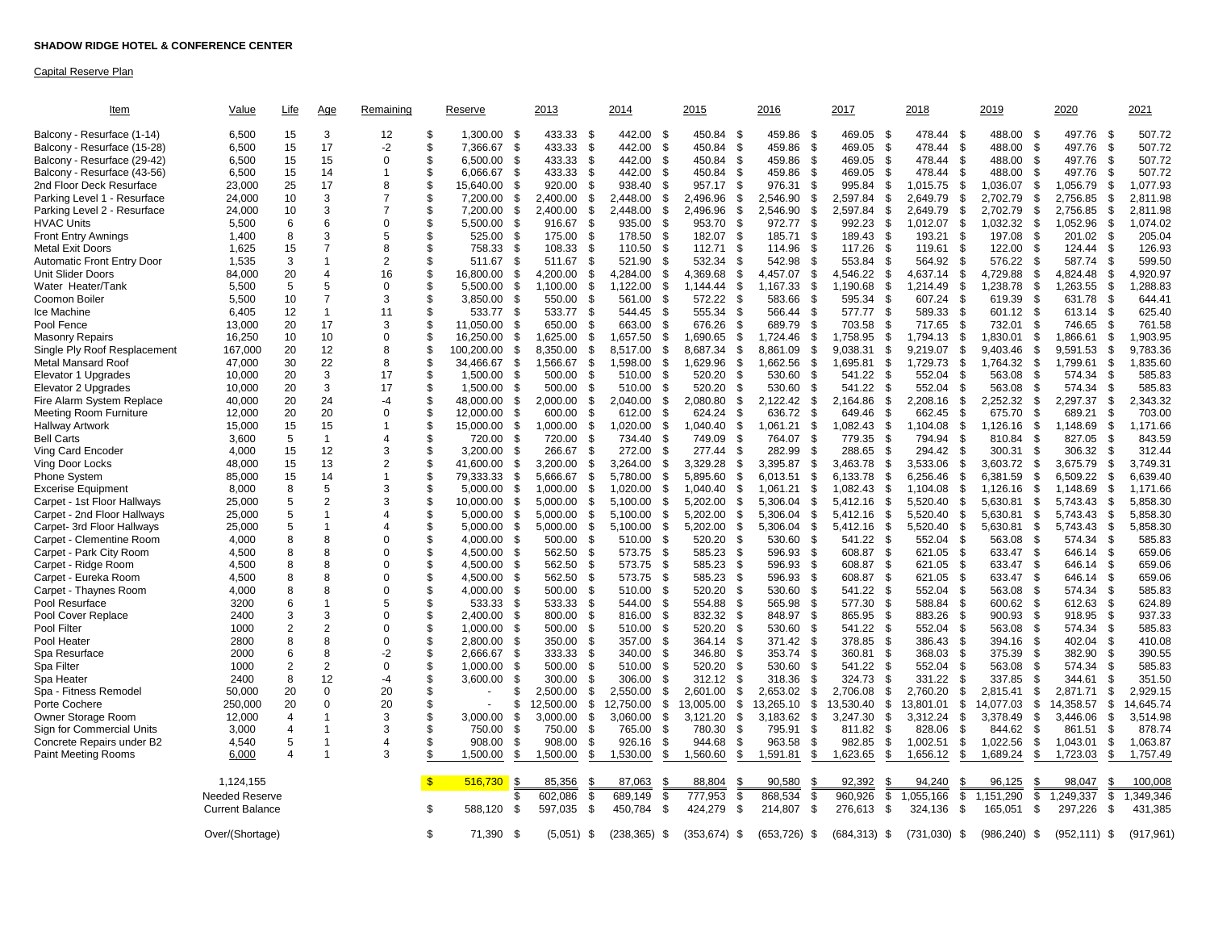#### Capital Reserve Plan

| <u>Item</u>                       | Value                  | <b>Life</b>    | Age            | Remaining      |     | Reserve                      | 2013            |      | 2014               | 2015            |      | 2016               | 2017      |                 | 2018           |      | 2019                      | 2020            |               | 2021       |
|-----------------------------------|------------------------|----------------|----------------|----------------|-----|------------------------------|-----------------|------|--------------------|-----------------|------|--------------------|-----------|-----------------|----------------|------|---------------------------|-----------------|---------------|------------|
| Balcony - Resurface (1-14)        | 6,500                  | 15             | 3              | 12             | \$  | 1,300.00<br>- \$             | 433.33          | \$   | 442.00<br>- \$     | 450.84          | -\$  | 459.86<br>- \$     | 469.05    | \$              | 478.44         | - \$ | 488.00<br>-\$             | 497.76          | - \$          | 507.72     |
| Balcony - Resurface (15-28)       | 6,500                  | 15             | 17             | -2             | \$  | 7,366.67<br>\$               | 433.33          | \$   | 442.00<br>\$       | 450.84          | -\$  | 459.86<br>\$       | 469.05    | \$              | 478.44         | \$   | 488.00<br>\$              | 497.76          | - \$          | 507.72     |
| Balcony - Resurface (29-42)       | 6,500                  | 15             | 15             | $\Omega$       | \$  | <sup>\$</sup><br>6,500.00    | 433.33          | \$   | 442.00<br>\$       | 450.84          | \$   | 459.86<br>\$       | 469.05    | \$              | 478.44         | -S   | 488.00<br>\$              | 497.76          | -\$           | 507.72     |
| Balcony - Resurface (43-56)       | 6,500                  | 15             | 14             | 1              | \$  | 6,066.67<br>\$               | 433.33          | \$   | 442.00<br>- \$     | 450.84          | - \$ | 459.86<br>\$       | 469.05    | \$              | 478.44         | - \$ | 488.00<br>- \$            | 497.76          | - \$          | 507.72     |
| 2nd Floor Deck Resurface          | 23,000                 | 25             | 17             | 8              | \$  | 15,640.00<br>\$              | 920.00          | \$   | 938.40<br>\$       | 957.17          | \$   | 976.31<br>\$       | 995.84    | \$              | 1,015.75       | \$   | 1,036.07<br>\$            | 1,056.79        | - \$          | 1,077.93   |
| Parking Level 1 - Resurface       | 24,000                 | 10             | 3              | $\overline{7}$ | \$  | 7,200.00                     | \$<br>2,400.00  | \$   | 2,448.00<br>\$     | 2,496.96        | -\$  | 2,546.90<br>\$     | 2,597.84  | \$              | 2,649.79       | \$   | 2,702.79<br>- \$          | 2,756.85        | - \$          | 2,811.98   |
| Parking Level 2 - Resurface       | 24,000                 | 10             | 3              | $\overline{7}$ | \$  | \$<br>7,200.00               | 2,400.00        | \$   | 2,448.00<br>\$     | 2,496.96        | \$   | 2,546.90<br>\$     | 2,597.84  | \$              | 2,649.79       | \$   | 2,702.79<br>-\$           | 2,756.85        | - \$          | 2,811.98   |
| <b>HVAC Units</b>                 | 5,500                  | 6              | 6              | $\Omega$       | \$  | 5,500.00<br>-\$              | 916.67          | - \$ | 935.00<br>- \$     | 953.70          | - \$ | 972.77<br>\$       | 992.23    | \$              | 1.012.07       | \$   | 1,032.32<br>- \$          | 1,052.96        | -\$           | 1,074.02   |
| <b>Front Entry Awnings</b>        | 1,400                  | 8              | 3              | 5              | \$  | 525.00<br>-\$                | 175.00          | \$   | 178.50<br>- \$     | 182.07          | \$   | 185.71<br>\$       | 189.43    | \$              | 193.21         | \$   | 197.08<br>- \$            | 201.02          | S.            | 205.04     |
| Metal Exit Doors                  | 1,625                  | 15             | $\overline{7}$ | 8              | \$  | 758.33<br>\$                 | 108.33          | \$   | 110.50<br>\$       | 112.71          | \$   | 114.96<br>- \$     | 117.26    | \$              | 119.61         | S    | 122.00<br>\$              | 124.44          | - \$          | 126.93     |
| <b>Automatic Front Entry Door</b> | 1,535                  | 3              | $\overline{1}$ | $\overline{2}$ | \$  | 511.67<br>-\$                | 511.67          | \$   | 521.90<br>\$       | 532.34          | -\$  | 542.98<br>- \$     | 553.84    | \$              | 564.92         | - \$ | 576.22<br>- \$            | 587.74          | -\$           | 599.50     |
| Unit Slider Doors                 | 84,000                 | 20             | $\overline{4}$ | 16             | \$  | 16,800.00<br>\$              | 4,200.00        | \$   | 4,284.00<br>\$     | 4,369.68        | \$   | 4,457.07<br>\$     | 4,546.22  | \$              | 4,637.14       | \$   | 4,729.88<br>\$            | 4,824.48        | \$.           | 4,920.97   |
| Water Heater/Tank                 | 5,500                  | 5              | 5              | $\Omega$       | \$  | 5.500.00                     | \$<br>1,100.00  | \$   | 1.122.00<br>\$     | 1.144.44        | \$   | 1,167.33<br>\$     | 1,190.68  | \$              | 1.214.49       | \$   | ,238.78<br>\$             | 1.263.55        | \$            | ,288.83    |
| Coomon Boiler                     | 5,500                  | 10             | $\overline{7}$ | 3              | \$  | 3,850.00<br>-\$              | 550.00          | \$   | 561.00<br>\$       | 572.22          | \$   | 583.66<br>\$       | 595.34    | \$              | 607.24         | - \$ | 619.39<br>- \$            | 631.78          | S.            | 644.41     |
| lce Machine                       | 6,405                  | 12             | $\mathbf{1}$   | 11             | \$  | 533.77<br>-\$                | 533.77          | - \$ | 544.45<br>- \$     | 555.34          | -\$  | 566.44<br>-\$      | 577.77    | \$              | 589.33         | \$   | 601.12<br>$\sqrt{3}$      | 613.14          | .ኖ            | 625.40     |
| Pool Fence                        | 13,000                 | 20             | 17             | 3              | \$  | -\$<br>11.050.00             | 650.00          | \$   | 663.00<br>\$       | 676.26          | -\$  | <b>S</b><br>689.79 | 703.58    | \$              | 717.65         | \$   | 732.01<br>\$              | 746.65          | - \$          | 761.58     |
| Masonry Repairs                   | 16,250                 | 10             | 10             | $\Omega$       | \$  | 16,250.00<br>-\$             | 1,625.00        | \$   | 1,657.50<br>\$     | 1,690.65        | \$   | 1,724.46<br>\$     | 1,758.95  | \$              | 1,794.13       | -S   | .830.01<br>\$             | .866.61         | - \$          | 1,903.95   |
| Single Ply Roof Resplacement      | 167,000                | 20             | 12             | 8              | \$  | $\mathfrak{s}$<br>100.200.00 | 8,350.00        | \$   | \$<br>8,517.00     | 8.687.34        | \$   | \$<br>8.861.09     | 9.038.31  | \$              | 9.219.07       | - \$ | 9.403.46<br>- \$          | 9,591.53        | -\$           | 9,783.36   |
| <b>Metal Mansard Roof</b>         | 47,000                 | 30             | 22             | 8              | \$. | 34,466.67<br>\$              | 1,566.67        | \$   | 1,598.00<br>\$     | 1,629.96        | \$   | 1,662.56<br>\$     | 1,695.81  | \$              | 1,729.73       | \$   | 1,764.32<br>\$            | 1,799.61        | \$            | 1,835.60   |
| Elevator 1 Upgrades               | 10,000                 | 20             | 3              | 17             | \$  | 1,500.00                     | \$<br>500.00    | \$   | 510.00<br>\$       | 520.20          | \$   | 530.60<br>\$       | 541.22    | \$              | 552.04         | \$   | 563.08<br>\$              | 574.34          | \$            | 585.83     |
| Elevator 2 Upgrades               | 10,000                 | 20             | 3              | 17             | \$  | 1,500.00<br>-\$              | 500.00          | \$   | 510.00<br>\$       | 520.20          | \$   | 530.60<br>- \$     | 541.22    | \$              | 552.04         | -S   | 563.08<br><b>S</b>        | 574.34          | -\$           | 585.83     |
| Fire Alarm System Replace         | 40,000                 | 20             | 24             | -4             | \$  | 48,000.00                    | \$<br>2,000.00  | \$   | 2,040.00<br>\$     | 2,080.80        | \$   | 2,122.42<br>\$     | 2,164.86  | \$              | 2,208.16       | \$   | 2,252.32<br>\$            | 2,297.37        | \$            | 2,343.32   |
| Meeting Room Furniture            | 12,000                 | 20             | 20             | $\Omega$       | \$  | 12.000.00                    | \$<br>600.00    | \$   | 612.00<br>\$       | 624.24          | \$   | 636.72<br>- \$     | 649.46    | \$              | 662.45         | \$   | 675.70<br><b>S</b>        | 689.21          | - \$          | 703.00     |
| Hallway Artwork                   | 15,000                 | 15             | 15             | $\mathbf 1$    | \$  | 15,000.00<br>-\$             | 1,000.00        | \$   | 1,020.00<br>\$     | 1,040.40        | \$   | 1,061.21<br>\$     | 1,082.43  | \$              | 1,104.08       | \$   | 1,126.16<br>\$            | 1,148.69        | - \$          | 1,171.66   |
| <b>Bell Carts</b>                 | 3,600                  | $\sqrt{5}$     | $\mathbf{1}$   | 4              | \$  | $\mathfrak{L}$<br>720.00     | 720.00          | \$   | \$<br>734.40       | 749.09          | \$   | <b>S</b><br>764.07 | 779.35    | \$              | 794.94         | -S   | \$<br>810.84              | 827.05          | -\$           | 843.59     |
| Ving Card Encoder                 | 4,000                  | 15             | 12             | 3              | \$. | 3,200.00<br>-\$              | 266.67          | \$   | 272.00<br>- \$     | 277.44          | \$   | 282.99<br>- \$     | 288.65    | \$              | 294.42         | - \$ | \$<br>300.31              | 306.32          | -\$           | 312.44     |
| Ving Door Locks                   | 48,000                 | 15             | 13             | $\overline{2}$ | \$  | 41,600.00                    | \$<br>3,200.00  | \$   | 3,264.00<br>\$     | 3,329.28        | \$   | 3,395.87<br>\$     | 3,463.78  | \$              | 3,533.06       | - \$ | 3,603.72<br>\$            | 3,675.79        | - \$          | 3,749.31   |
| <b>Phone System</b>               | 85,000                 | 15             | 14             | $\mathbf{1}$   | \$  | 79,333.33<br>$\mathfrak{s}$  | 5,666.67        | \$   | 5,780.00<br>\$     | 5,895.60        | \$   | 6,013.51<br>\$     | 6,133.78  | \$              | 6,256.46       | \$   | 6,381.59<br>\$            | 6,509.22        | - \$          | 6,639.40   |
| Excerise Equipment                | 8,000                  | 8              | 5              | 3              | \$  | 5,000.00                     | \$<br>1,000.00  | \$   | 1,020.00<br>\$     | 1,040.40        | - \$ | 1,061.21<br>\$     | 1,082.43  | \$              | 1,104.08       | \$   | 1,126.16<br>- \$          | 1,148.69        | - \$          | 1,171.66   |
| Carpet - 1st Floor Hallways       | 25,000                 | 5              | $\overline{2}$ | 3              | \$  | 10.000.00                    | \$<br>5.000.00  | \$   | 5,100.00<br>\$     | 5.202.00        | \$   | 5.306.04<br>\$     | 5.412.16  | \$              | 5.520.40       | \$   | 5.630.81<br>\$            | 5.743.43        | -\$           | 5,858.30   |
| Carpet - 2nd Floor Hallways       | 25,000                 | 5              | $\mathbf 1$    | $\overline{4}$ | \$  | 5,000.00                     | \$<br>5,000.00  | \$   | 5,100.00<br>\$     | 5,202.00        | \$   | 5,306.04<br>\$     | 5,412.16  | \$              | 5,520.40       | \$   | 5,630.81<br>- \$          | 5,743.43        | - \$          | 5,858.30   |
| Carpet- 3rd Floor Hallways        | 25,000                 | 5              |                | 4              | \$  | \$<br>5,000.00               | 5,000.00        | \$   | \$<br>5,100.00     | 5,202.00        | \$   | 5,306.04<br>\$     | 5,412.16  | \$              | 5,520.40       | - \$ | 5,630.81<br>- \$          | 5,743.43        | - \$          | 5,858.30   |
| Carpet - Clementine Room          | 4,000                  | 8              | 8              | $\Omega$       | \$  | 4,000.00<br>-\$              | 500.00          | \$   | 510.00<br>- \$     | 520.20          | - \$ | 530.60<br>\$       | 541.22    | - \$            | 552.04         | \$   | 563.08<br>- \$            | 574.34          | - \$          | 585.83     |
| Carpet - Park City Room           | 4,500                  | 8              | 8              | $\mathbf 0$    | \$  | \$<br>4,500.00               | 562.50          | \$   | 573.75<br>\$       | 585.23          | \$   | 596.93<br>\$       | 608.87    | \$              | 621.05         | \$   | 633.47<br>- \$            | 646.14          | - \$          | 659.06     |
| Carpet - Ridge Room               | 4,500                  | 8              | 8              | $\Omega$       | \$  | 4,500.00<br>-\$              | 562.50          | \$   | <b>S</b><br>573.75 | 585.23          | \$   | 596.93<br>- \$     | 608.87    | \$              | 621.05         | - \$ | 633.47<br>- \$            | 646.14          | -\$           | 659.06     |
| Carpet - Eureka Room              | 4,500                  | 8              | 8              | $\mathbf 0$    | \$  | 4,500.00<br>-\$              | 562.50          | \$   | 573.75<br>\$       | 585.23          | - \$ | 596.93<br>\$       | 608.87    | -\$             | 621.05         | \$   | 633.47<br>- \$            | 646.14          | - \$          | 659.06     |
| Carpet - Thaynes Room             | 4,000                  | 8              | 8              | $\Omega$       | \$  | 4,000.00<br>- \$             | 500.00          | \$   | 510.00<br><b>S</b> | 520.20          | \$   | 530.60<br>\$       | 541.22    | -\$             | 552.04         | \$   | 563.08<br><b>S</b>        | 574.34          | - \$          | 585.83     |
| Pool Resurface                    | 3200                   | 6              | $\overline{1}$ | 5              | \$  | 533.33<br>-\$                | 533.33          | - \$ | 544.00<br>-\$      | 554.88          | - \$ | 565.98<br>\$       | 577.30    | \$              | 588.84         | \$   | 600.62<br>- \$            | 612.63          | - \$          | 624.89     |
| Pool Cover Replace                | 2400                   | 3              | 3              | $\mathbf 0$    | \$  | 2,400.00<br>-\$              | 800.00          | - \$ | 816.00<br>-\$      | 832.32          | - \$ | 848.97<br>\$       | 865.95    | \$              | 883.26         | \$   | 900.93<br>- \$            | 918.95          | - \$          | 937.33     |
| Pool Filter                       | 1000                   | $\overline{2}$ | $\overline{2}$ | $\Omega$       | \$  | 1,000.00<br>. \$             | 500.00          | -\$  | 510.00<br>-\$      | 520.20          | - \$ | 530.60<br>- \$     | 541.22    | \$              | 552.04         | \$   | 563.08<br>- \$            | 574.34          | .ኖ            | 585.83     |
| Pool Heater                       | 2800                   | 8              | 8              | $\mathbf 0$    | \$  | -\$<br>2,800.00              | 350.00          | \$   | - \$<br>357.00     | 364.14          | -\$  | 371.42<br>\$       | 378.85    | \$              | 386.43         | \$   | 394.16<br>- \$            | 402.04          | - \$          | 410.08     |
| Spa Resurface                     | 2000                   | 6              | 8              | $-2$           | \$  | <sup>\$</sup><br>2.666.67    | 333.33          | \$   | 340.00<br>- \$     | 346.80          | \$   | <b>S</b><br>353.74 | 360.81    | \$              | 368.03         | . ጽ  | 375.39<br>$\mathcal{F}$   | 382.90          | $\mathcal{S}$ | 390.55     |
| Spa Filter                        | 1000                   | $\overline{2}$ | $\overline{2}$ | $\mathbf 0$    | \$  | 1,000.00<br>-\$              | 500.00          | \$   | 510.00<br>- \$     | 520.20          | -\$  | 530.60<br>- \$     | 541.22    | \$              | 552.04         | - \$ | 563.08<br>- \$            | 574.34          | - \$          | 585.83     |
| Spa Heater                        | 2400                   | 8              | 12             | -4             | \$  | 3,600.00<br>\$               | 300.00          | \$   | 306.00<br>- \$     | 312.12          | Ŝ.   | 318.36<br>- \$     | 324.73    | \$              | 331.22         | \$   | 337.85<br>- \$            | 344.61          | \$.           | 351.50     |
| Spa - Fitness Remodel             | 50,000                 | 20             | $\mathbf 0$    | 20             | \$  |                              | \$<br>2,500.00  | \$   | 2,550.00<br>\$     | 2,601.00        | \$   | 2,653.02<br>\$     | 2,706.08  | \$              | 2,760.20       | \$   | 2,815.41<br>\$            | 2,871.71        | - \$          | 2,929.15   |
| Porte Cochere                     | 250,000                | 20             | $\mathbf 0$    | 20             | \$  |                              | \$<br>12,500.00 | \$   | 12,750.00<br>\$    | 13,005.00       | \$   | 13,265.10<br>\$    | 13,530.40 | \$              | 13,801.01      | \$   | \$<br>14,077.03           | 14,358.57       | \$            | 14,645.74  |
| Owner Storage Room                | 12,000                 | $\overline{4}$ |                | 3              | \$  | 3.000.00                     | \$<br>3.000.00  | \$   | 3,060.00<br>\$     | 3,121.20        | \$   | 3,183.62<br>\$     | 3,247.30  | \$              | 3.312.24       | \$   | 3.378.49<br>$\frac{1}{2}$ | 3,446.06        | \$            | 3,514.98   |
| Sign for Commercial Units         | 3,000                  | 4              |                | 3              | \$  | 750.00                       | \$<br>750.00    | \$   | 765.00<br>\$       | 780.30          | \$   | \$<br>795.91       | 811.82    | \$              | 828.06         | \$   | \$<br>844.62              | 861.51          | \$            | 878.74     |
| Concrete Repairs under B2         | 4,540                  | 5              | -1             | 4              | \$. | . \$<br>908.00               | 908.00          | \$   | 926.16<br>\$       | 944.68          | \$   | 963.58<br>- \$     | 982.85    | \$              | 1,002.51       | \$   | 1,022.56<br>\$            | 1,043.01        | \$            | 1,063.87   |
| Paint Meeting Rooms               | 6,000                  | 4              | $\overline{1}$ | 3              | \$. | 1,500.00                     | \$<br>1,500.00  | \$   | 1,530.00<br>\$     | 1,560.60        | \$   | 1,591.81<br>\$     | 1,623.65  | \$              | 1,656.12       | \$   | 1,689.24<br>\$            | 1,723.03        | \$.           | 1,757.49   |
|                                   |                        |                |                |                | -\$ |                              |                 |      |                    |                 |      |                    |           |                 |                |      |                           |                 | -96           |            |
|                                   | 1,124,155              |                |                |                |     | 516,730<br>- 35              | 85,356          | - \$ | 87,063<br>S        | 88,804          | S    | 90,580             | 92,392    | \$              | 94,240         | S    | 96,125<br>\$              | 98,047          |               | 100,008    |
|                                   | <b>Needed Reserve</b>  |                |                |                |     |                              | \$<br>602.086   | \$   | 689.149<br>\$      | 777,953         | \$   | 868.534<br>\$      | 960.926   | \$              | .055.166       | \$   | 1.151.290<br>\$           | 1.249.337       | \$            | 1,349,346  |
|                                   | <b>Current Balance</b> |                |                |                | \$  | 588,120<br>\$                | 597,035         | \$   | 450,784<br>\$      | 424,279         | \$   | 214,807<br>\$      | 276,613   | \$              | 324,136        | \$   | - \$<br>165,051           | 297,226         | \$            | 431,385    |
|                                   | Over/(Shortage)        |                |                |                | \$. | 71,390<br>-\$                | $(5,051)$ \$    |      | (238, 365)<br>- \$ | $(353, 674)$ \$ |      | (653, 726)<br>-\$  |           | $(684, 313)$ \$ | $(731,030)$ \$ |      | $(986, 240)$ \$           | $(952, 111)$ \$ |               | (917, 961) |